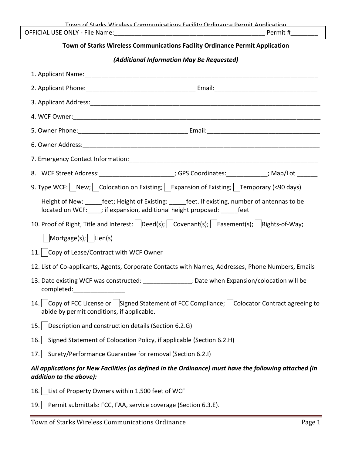|                                                                                                                                   | Town of Starks Wireless Communications Eacility Ordinance Permit Annlication                                                                                                  |  |
|-----------------------------------------------------------------------------------------------------------------------------------|-------------------------------------------------------------------------------------------------------------------------------------------------------------------------------|--|
|                                                                                                                                   |                                                                                                                                                                               |  |
|                                                                                                                                   | Town of Starks Wireless Communications Facility Ordinance Permit Application                                                                                                  |  |
|                                                                                                                                   | (Additional Information May Be Requested)                                                                                                                                     |  |
|                                                                                                                                   |                                                                                                                                                                               |  |
|                                                                                                                                   |                                                                                                                                                                               |  |
|                                                                                                                                   |                                                                                                                                                                               |  |
|                                                                                                                                   |                                                                                                                                                                               |  |
|                                                                                                                                   |                                                                                                                                                                               |  |
|                                                                                                                                   |                                                                                                                                                                               |  |
|                                                                                                                                   |                                                                                                                                                                               |  |
| 8. WCF Street Address:________________________; GPS Coordinates:____________; Map/Lot _______                                     |                                                                                                                                                                               |  |
| 9. Type WCF: New; Colocation on Existing; Expansion of Existing; Temporary (<90 days)                                             |                                                                                                                                                                               |  |
|                                                                                                                                   | Height of New: ______feet; Height of Existing: ______feet. If existing, number of antennas to be<br>located on WCF:____; if expansion, additional height proposed: ______feet |  |
| 10. Proof of Right, Title and Interest: Deed(s); Covenant(s); Easement(s); Rights-of-Way;                                         |                                                                                                                                                                               |  |
| Mortgage(s); $\vert$ Lien(s)                                                                                                      |                                                                                                                                                                               |  |
| 11. Copy of Lease/Contract with WCF Owner                                                                                         |                                                                                                                                                                               |  |
| 12. List of Co-applicants, Agents, Corporate Contacts with Names, Addresses, Phone Numbers, Emails                                |                                                                                                                                                                               |  |
| 13. Date existing WCF was constructed:<br>; Date when Expansion/colocation will be<br>completed:                                  |                                                                                                                                                                               |  |
| 14.1<br>abide by permit conditions, if applicable.                                                                                | $\vert$ Copy of FCC License or $\vert$ Signed Statement of FCC Compliance; $\vert$ Colocator Contract agreeing to                                                             |  |
| Description and construction details (Section 6.2.G)<br>15.                                                                       |                                                                                                                                                                               |  |
| Signed Statement of Colocation Policy, if applicable (Section 6.2.H)<br>16.                                                       |                                                                                                                                                                               |  |
| 17. Surety/Performance Guarantee for removal (Section 6.2.I)                                                                      |                                                                                                                                                                               |  |
| All applications for New Facilities (as defined in the Ordinance) must have the following attached (in<br>addition to the above): |                                                                                                                                                                               |  |
| List of Property Owners within 1,500 feet of WCF<br>18.                                                                           |                                                                                                                                                                               |  |
| Permit submittals: FCC, FAA, service coverage (Section 6.3.E).<br>19.                                                             |                                                                                                                                                                               |  |